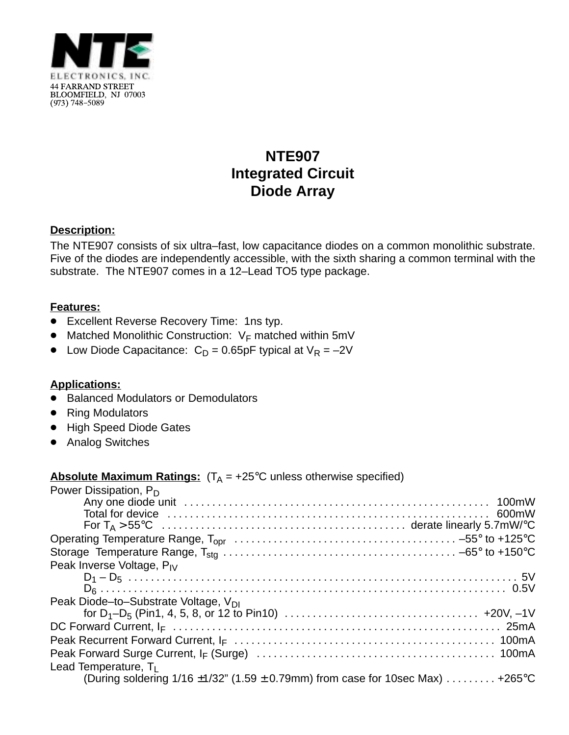

# **NTE907 Integrated Circuit Diode Array**

### **Description:**

The NTE907 consists of six ultra–fast, low capacitance diodes on a common monolithic substrate. Five of the diodes are independently accessible, with the sixth sharing a common terminal with the substrate. The NTE907 comes in a 12–Lead TO5 type package.

#### **Features:**

- Excellent Reverse Recovery Time: 1ns typ.
- $\bullet$  Matched Monolithic Construction: V<sub>F</sub> matched within 5mV
- Low Diode Capacitance:  $C_D = 0.65pF$  typical at  $V_R = -2V$

#### **Applications:**

- Balanced Modulators or Demodulators
- Ring Modulators
- High Speed Diode Gates
- Analog Switches

## **Absolute Maximum Ratings:**  $(T_A = +25^{\circ}C$  unless otherwise specified)

| Power Dissipation, P <sub>D</sub>                                                        |
|------------------------------------------------------------------------------------------|
|                                                                                          |
|                                                                                          |
|                                                                                          |
|                                                                                          |
|                                                                                          |
| Peak Inverse Voltage, P <sub>IV</sub>                                                    |
|                                                                                          |
|                                                                                          |
| Peak Diode-to-Substrate Voltage, V <sub>DI</sub>                                         |
|                                                                                          |
|                                                                                          |
|                                                                                          |
|                                                                                          |
| Lead Temperature, $T_1$                                                                  |
| (During soldering $1/16 \pm 1/32$ " (1.59 $\pm$ 0.79mm) from case for 10sec Max)  +265°C |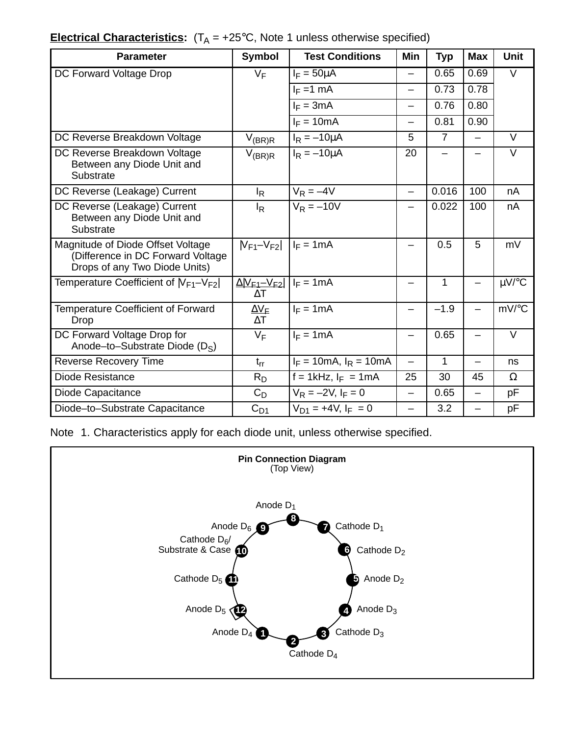| <b>Electrical Characteristics:</b> $(T_A = +25^{\circ}C,$ Note 1 unless otherwise specified) |  |  |  |  |  |  |
|----------------------------------------------------------------------------------------------|--|--|--|--|--|--|
|----------------------------------------------------------------------------------------------|--|--|--|--|--|--|

| <b>Parameter</b>                                                                                        | <b>Symbol</b>                                           | <b>Test Conditions</b>      | <b>Min</b>               | <b>Typ</b>     | <b>Max</b>               | <b>Unit</b>         |
|---------------------------------------------------------------------------------------------------------|---------------------------------------------------------|-----------------------------|--------------------------|----------------|--------------------------|---------------------|
| DC Forward Voltage Drop                                                                                 | $V_F$                                                   | $I_F = 50 \mu A$            | $\overline{\phantom{0}}$ | 0.65           | 0.69                     | V                   |
|                                                                                                         |                                                         | $I_F = 1$ mA                |                          | 0.73           | 0.78                     |                     |
|                                                                                                         |                                                         | $I_F = 3mA$                 |                          | 0.76           | 0.80                     |                     |
|                                                                                                         |                                                         | $I_F = 10mA$                |                          | 0.81           | 0.90                     |                     |
| DC Reverse Breakdown Voltage                                                                            | $V_{(BR)R}$                                             | $I_R = -10 \mu A$           | 5                        | $\overline{7}$ | $\overline{\phantom{0}}$ | V                   |
| DC Reverse Breakdown Voltage<br>Between any Diode Unit and<br>Substrate                                 | $V_{(BR)R}$                                             | $I_R = -10\mu A$            | 20                       |                |                          | $\vee$              |
| DC Reverse (Leakage) Current                                                                            | l <sub>R</sub>                                          | $V_R = -4V$                 | $\equiv$                 | 0.016          | 100                      | nA                  |
| DC Reverse (Leakage) Current<br>Between any Diode Unit and<br>Substrate                                 | l <sub>R</sub>                                          | $V_R = -10V$                |                          | 0.022          | 100                      | nA                  |
| Magnitude of Diode Offset Voltage<br>(Difference in DC Forward Voltage<br>Drops of any Two Diode Units) | $ V_{F1}-V_{F2} $                                       | $I_F = 1mA$                 |                          | 0.5            | 5                        | mV                  |
| Temperature Coefficient of $ V_{F1}-V_{F2} $                                                            | $\Delta$ VF <sub>1</sub> -V <sub>F2</sub><br>$\Delta T$ | $I_F = 1mA$                 |                          | 1              |                          | $\mu$ V/°C          |
| Temperature Coefficient of Forward<br>Drop                                                              | $\Delta V_{\textsf{F}}$<br>$\Delta T$                   | $I_F = 1mA$                 |                          | $-1.9$         |                          | $mV$ <sup>o</sup> C |
| DC Forward Voltage Drop for<br>Anode-to-Substrate Diode (D <sub>S</sub> )                               | $V_F$                                                   | $I_F = 1mA$                 |                          | 0.65           |                          | $\vee$              |
| <b>Reverse Recovery Time</b>                                                                            | $t_{rr}$                                                | $I_F = 10mA$ , $I_R = 10mA$ | $\overline{\phantom{0}}$ | 1              | $\overline{\phantom{0}}$ | ns                  |
| Diode Resistance                                                                                        | $R_D$                                                   | $f = 1$ kHz, $I_F = 1$ mA   | 25                       | 30             | 45                       | $\Omega$            |
| Diode Capacitance                                                                                       | $C_D$                                                   | $V_R = -2V$ , $I_F = 0$     | $\overline{\phantom{0}}$ | 0.65           | —                        | рF                  |
| Diode-to-Substrate Capacitance                                                                          | $C_{D1}$                                                | $V_{D1}$ = +4V, $I_F = 0$   | $\qquad \qquad -$        | 3.2            | —                        | pF                  |

Note 1. Characteristics apply for each diode unit, unless otherwise specified.